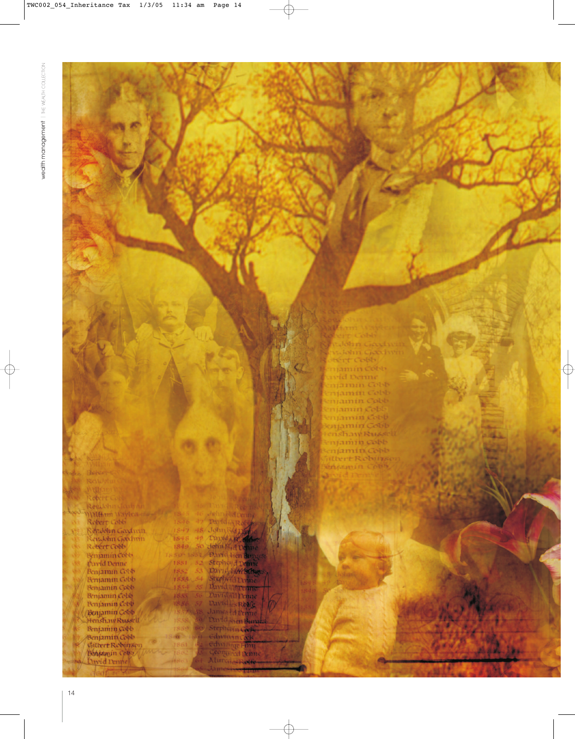оb 2026 William Way Robert Cobb Roy John Geedwin<br>Roy John Geedwin<br>Rotert Cobb Benjamin Cobb **Cavid Denne** Penjamin Cobb **Renjamin** Cobb Benjamin Cobb Benjamin Cobb Benjamin Cobb Benjamin Cobb Henshaw Russell Benjamin Cobb Benjamin Cobb<br>Juliert Robinson Benjamin Court  $\left[\text{Oayid} \Gamma \text{trunc}\right]$ -6

Joh Dayy John K<sub>id</sub>1 Darid hen Birr Stephend Lemi Pay 16 Hyundra Stepheni Lyme David MALEITTE Pavis al penne David shen Bury Stephenin Cock Edwininger<br>Edwinger<br>Georgied penne Alurcus Rolfe

amesis

min Cot id Denne Jamin Cobb jamin Cobl jainin Cobb jamin Cobl famin Cobb jamin Cobb **ISHAW RUSS** tamin cobb tjamin Cobb vrt Robitz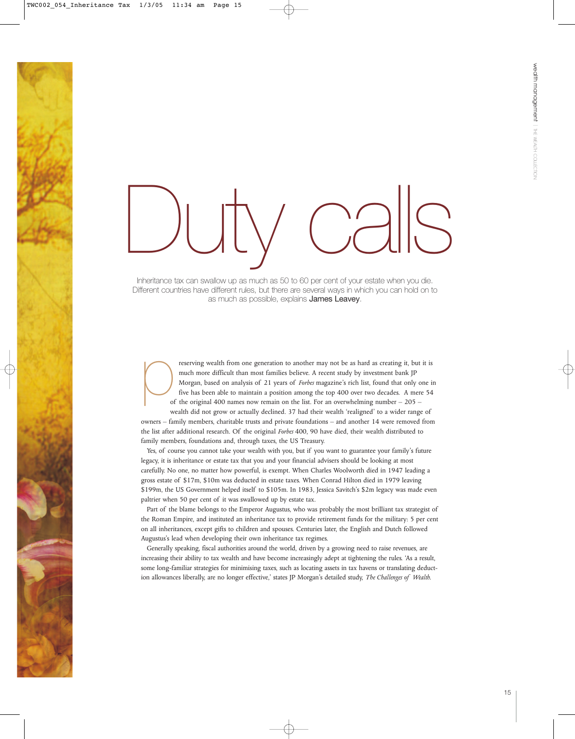# Duty calls

Inheritance tax can swallow up as much as 50 to 60 per cent of your estate when you die. Different countries have different rules, but there are several ways in which you can hold on to as much as possible, explains James Leavey.

reserving wealth from one generation to another may not be as hard as creating it, but it is much more difficult than most families believe. A recent study by investment bank JP Morgan, based on analysis of 21 years of *Forbes* magazine's rich list, found that only one in five has been able to maintain a position among the top 400 over two decades. A mere 54 of the original 400 names now remain on the list. For an overwhelming number – 205 – wealth did not grow or actually declined. 37 had their wealth 'realigned' to a wider range of owners – family members, charitable trusts and private foundations – and another 14 were removed from the list after additional research. Of the original *Forbes* 400, 90 have died, their wealth distributed to

family members, foundations and, through taxes, the US Treasury. Yes, of course you cannot take your wealth with you, but if you want to guarantee your family's future legacy, it is inheritance or estate tax that you and your financial advisers should be looking at most carefully. No one, no matter how powerful, is exempt. When Charles Woolworth died in 1947 leading a gross estate of \$17m, \$10m was deducted in estate taxes. When Conrad Hilton died in 1979 leaving \$199m, the US Government helped itself to \$105m. In 1983, Jessica Savitch's \$2m legacy was made even paltrier when 50 per cent of it was swallowed up by estate tax.

Part of the blame belongs to the Emperor Augustus, who was probably the most brilliant tax strategist of the Roman Empire, and instituted an inheritance tax to provide retirement funds for the military: 5 per cent on all inheritances, except gifts to children and spouses. Centuries later, the English and Dutch followed Augustus's lead when developing their own inheritance tax regimes.

Generally speaking, fiscal authorities around the world, driven by a growing need to raise revenues, are increasing their ability to tax wealth and have become increasingly adept at tightening the rules. 'As a result, some long-familiar strategies for minimising taxes, such as locating assets in tax havens or translating deduction allowances liberally, are no longer effective,' states JP Morgan's detailed study, *The Challenges of Wealth*.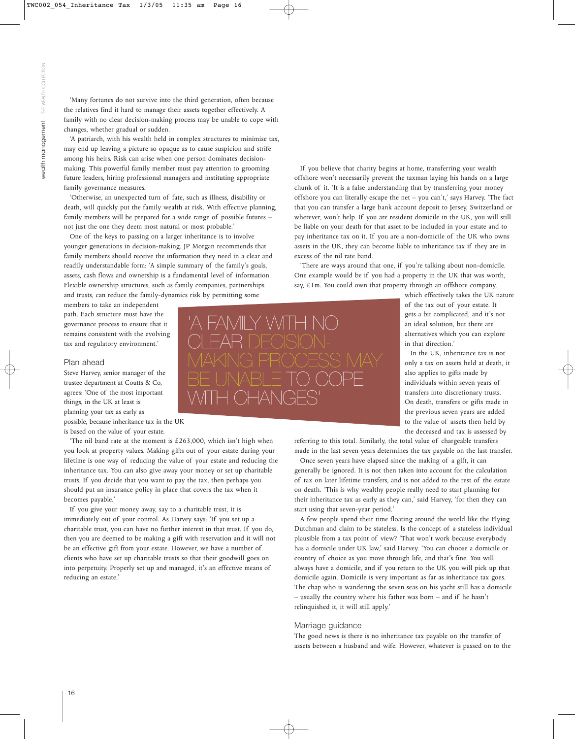'Many fortunes do not survive into the third generation, often because the relatives find it hard to manage their assets together effectively. A family with no clear decision-making process may be unable to cope with changes, whether gradual or sudden.

'A patriarch, with his wealth held in complex structures to minimise tax, may end up leaving a picture so opaque as to cause suspicion and strife among his heirs. Risk can arise when one person dominates decisionmaking. This powerful family member must pay attention to grooming future leaders, hiring professional managers and instituting appropriate family governance measures.

'Otherwise, an unexpected turn of fate, such as illness, disability or death, will quickly put the family wealth at risk. With effective planning, family members will be prepared for a wide range of possible futures – not just the one they deem most natural or most probable.'

One of the keys to passing on a larger inheritance is to involve younger generations in decision-making. JP Morgan recommends that family members should receive the information they need in a clear and readily understandable form: 'A simple summary of the family's goals, assets, cash flows and ownership is a fundamental level of information. Flexible ownership structures, such as family companies, partnerships and trusts, can reduce the family-dynamics risk by permitting some

members to take an independent path. Each structure must have the governance process to ensure that it remains consistent with the evolving tax and regulatory environment.'

## Plan ahead

Steve Harvey, senior manager of the trustee department at Coutts & Co, agrees: 'One of the most important things, in the UK at least is planning your tax as early as possible, because inheritance tax in the UK

is based on the value of your estate.

'The nil band rate at the moment is £263,000, which isn't high when you look at property values. Making gifts out of your estate during your lifetime is one way of reducing the value of your estate and reducing the inheritance tax. You can also give away your money or set up charitable trusts. If you decide that you want to pay the tax, then perhaps you should put an insurance policy in place that covers the tax when it becomes payable.'

If you give your money away, say to a charitable trust, it is immediately out of your control. As Harvey says: 'If you set up a charitable trust, you can have no further interest in that trust. If you do, then you are deemed to be making a gift with reservation and it will not be an effective gift from your estate. However, we have a number of clients who have set up charitable trusts so that their goodwill goes on into perpetuity. Properly set up and managed, it's an effective means of reducing an estate.'

<del>T</del>AMILY WITH N CLEAR DECISION-BE UNABLE TO COPE  $CHAN$ 

If you believe that charity begins at home, transferring your wealth offshore won't necessarily prevent the taxman laying his hands on a large chunk of it. 'It is a false understanding that by transferring your money offshore you can literally escape the net – you can't,' says Harvey. 'The fact that you can transfer a large bank account deposit to Jersey, Switzerland or wherever, won't help. If you are resident domicile in the UK, you will still be liable on your death for that asset to be included in your estate and to pay inheritance tax on it. If you are a non-domicile of the UK who owns assets in the UK, they can become liable to inheritance tax if they are in excess of the nil rate band.

'There are ways around that one, if you're talking about non-domicile. One example would be if you had a property in the UK that was worth, say, £1m. You could own that property through an offshore company,

> which effectively takes the UK nature of the tax out of your estate. It gets a bit complicated, and it's not an ideal solution, but there are alternatives which you can explore in that direction.'

In the UK, inheritance tax is not only a tax on assets held at death, it also applies to gifts made by individuals within seven years of transfers into discretionary trusts. On death, transfers or gifts made in the previous seven years are added to the value of assets then held by the deceased and tax is assessed by

referring to this total. Similarly, the total value of chargeable transfers made in the last seven years determines the tax payable on the last transfer.

Once seven years have elapsed since the making of a gift, it can generally be ignored. It is not then taken into account for the calculation of tax on later lifetime transfers, and is not added to the rest of the estate on death. 'This is why wealthy people really need to start planning for their inheritance tax as early as they can,' said Harvey, 'for then they can start using that seven-year period.'

A few people spend their time floating around the world like the Flying Dutchman and claim to be stateless. Is the concept of a stateless individual plausible from a tax point of view? 'That won't work because everybody has a domicile under UK law,' said Harvey. 'You can choose a domicile or country of choice as you move through life, and that's fine. You will always have a domicile, and if you return to the UK you will pick up that domicile again. Domicile is very important as far as inheritance tax goes. The chap who is wandering the seven seas on his yacht still has a domicile – usually the country where his father was born – and if he hasn't relinquished it, it will still apply.'

### Marriage guidance

The good news is there is no inheritance tax payable on the transfer of assets between a husband and wife. However, whatever is passed on to the